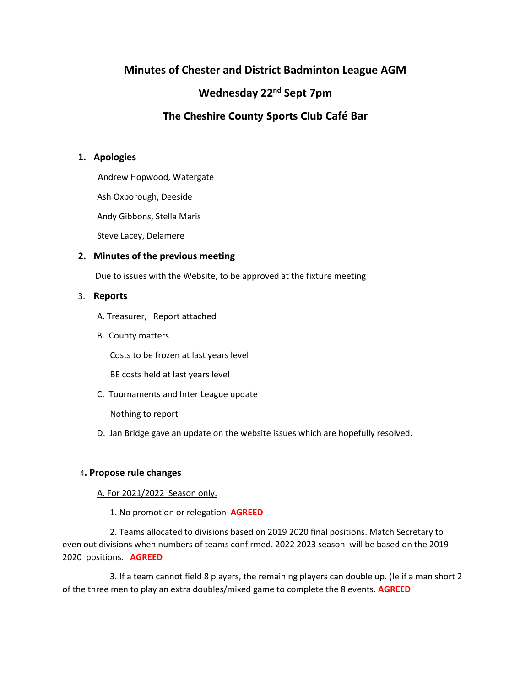# **Minutes of Chester and District Badminton League AGM**

# **Wednesday 22nd Sept 7pm**

# **The Cheshire County Sports Club Café Bar**

# **1. Apologies**

Andrew Hopwood, Watergate

Ash Oxborough, Deeside

Andy Gibbons, Stella Maris

Steve Lacey, Delamere

# **2. Minutes of the previous meeting**

Due to issues with the Website, to be approved at the fixture meeting

# 3. **Reports**

A. Treasurer, Report attached

B. County matters

Costs to be frozen at last years level

BE costs held at last years level

C. Tournaments and Inter League update

Nothing to report

D. Jan Bridge gave an update on the website issues which are hopefully resolved.

# 4**. Propose rule changes**

#### A. For 2021/2022 Season only.

1. No promotion or relegation **AGREED**

 2. Teams allocated to divisions based on 2019 2020 final positions. Match Secretary to even out divisions when numbers of teams confirmed. 2022 2023 season will be based on the 2019 2020 positions. **AGREED**

 3. If a team cannot field 8 players, the remaining players can double up. (Ie if a man short 2 of the three men to play an extra doubles/mixed game to complete the 8 events. **AGREED**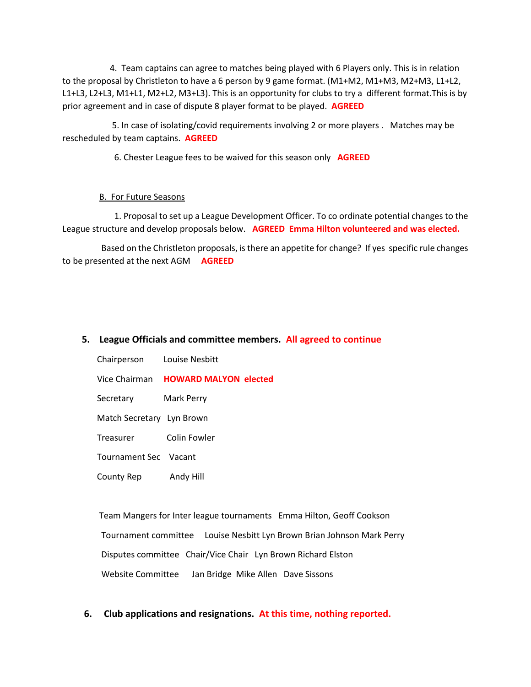4. Team captains can agree to matches being played with 6 Players only. This is in relation to the proposal by Christleton to have a 6 person by 9 game format. (M1+M2, M1+M3, M2+M3, L1+L2, L1+L3, L2+L3, M1+L1, M2+L2, M3+L3). This is an opportunity for clubs to try a different format.This is by prior agreement and in case of dispute 8 player format to be played. **AGREED**

 5. In case of isolating/covid requirements involving 2 or more players . Matches may be rescheduled by team captains. **AGREED**

6. Chester League fees to be waived for this season only **AGREED**

#### B. For Future Seasons

 1. Proposal to set up a League Development Officer. To co ordinate potential changes to the League structure and develop proposals below. **AGREED Emma Hilton volunteered and was elected.**

 Based on the Christleton proposals, is there an appetite for change? If yes specific rule changes to be presented at the next AGM **AGREED**

### **5. League Officials and committee members. All agreed to continue**

Chairperson Louise Nesbitt

Vice Chairman **HOWARD MALYON elected**

Secretary Mark Perry

Match Secretary Lyn Brown

Treasurer Colin Fowler

Tournament Sec Vacant

County Rep Andy Hill

 Team Mangers for Inter league tournaments Emma Hilton, Geoff Cookson Tournament committee Louise Nesbitt Lyn Brown Brian Johnson Mark Perry Disputes committee Chair/Vice Chair Lyn Brown Richard Elston Website Committee Jan Bridge Mike Allen Dave Sissons

**6. Club applications and resignations. At this time, nothing reported.**